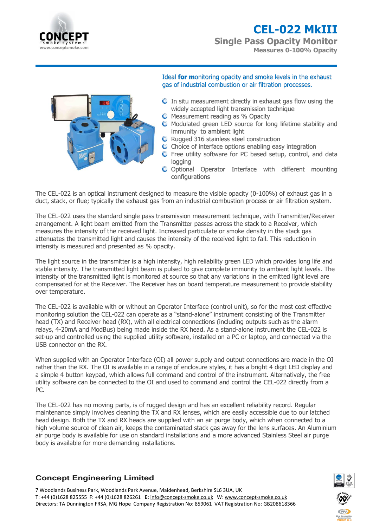

**Single Pass Opacity Monitor Measures 0-100% Opacity**



Ideal **for m**onitoring opacity and smoke levels in the exhaust gas of industrial combustion or air filtration processes.

- $\bullet$  In situ measurement directly in exhaust gas flow using the widely accepted light transmission technique
- **O** Measurement reading as % Opacity
- $\bullet$  Modulated green LED source for long lifetime stability and immunity to ambient light
- **O** Rugged 316 stainless steel construction
- C Choice of interface options enabling easy integration
- **O** Free utility software for PC based setup, control, and data logging
- O Optional Operator Interface with different mounting configurations

The CEL-022 is an optical instrument designed to measure the visible opacity (0-100%) of exhaust gas in a duct, stack, or flue; typically the exhaust gas from an industrial combustion process or air filtration system.

The CEL-022 uses the standard single pass transmission measurement technique, with Transmitter/Receiver arrangement. A light beam emitted from the Transmitter passes across the stack to a Receiver, which measures the intensity of the received light. Increased particulate or smoke density in the stack gas attenuates the transmitted light and causes the intensity of the received light to fall. This reduction in intensity is measured and presented as % opacity.

The light source in the transmitter is a high intensity, high reliability green LED which provides long life and stable intensity. The transmitted light beam is pulsed to give complete immunity to ambient light levels. The intensity of the transmitted light is monitored at source so that any variations in the emitted light level are compensated for at the Receiver. The Receiver has on board temperature measurement to provide stability over temperature.

The CEL-022 is available with or without an Operator Interface (control unit), so for the most cost effective monitoring solution the CEL-022 can operate as a "stand-alone" instrument consisting of the Transmitter head (TX) and Receiver head (RX), with all electrical connections (including outputs such as the alarm relays, 4-20mA and ModBus) being made inside the RX head. As a stand-alone instrument the CEL-022 is set-up and controlled using the supplied utility software, installed on a PC or laptop, and connected via the USB connector on the RX.

When supplied with an Operator Interface (OI) all power supply and output connections are made in the OI rather than the RX. The OI is available in a range of enclosure styles, it has a bright 4 digit LED display and a simple 4 button keypad, which allows full command and control of the instrument. Alternatively, the free utility software can be connected to the OI and used to command and control the CEL-022 directly from a PC.

The CEL-022 has no moving parts, is of rugged design and has an excellent reliability record. Regular maintenance simply involves cleaning the TX and RX lenses, which are easily accessible due to our latched head design. Both the TX and RX heads are supplied with an air purge body, which when connected to a high volume source of clean air, keeps the contaminated stack gas away for the lens surfaces. An Aluminium air purge body is available for use on standard installations and a more advanced Stainless Steel air purge body is available for more demanding installations.

# **Concept Engineering Limited**

7 Woodlands Business Park, Woodlands Park Avenue, Maidenhead, Berkshire SL6 3UA, UK T: +44 (0)1628 825555 F: +44 (0)1628 826261 **E:** [info@concept-smoke.co.uk](mailto:info@concept-smoke.co.uk)W[: www.concept-smoke.co.uk](http://www.concept-smoke.co.uk/) Directors: TA Dunnington FRSA, MG Hope Company Registration No: 859061 VAT Registration No: GB208618366

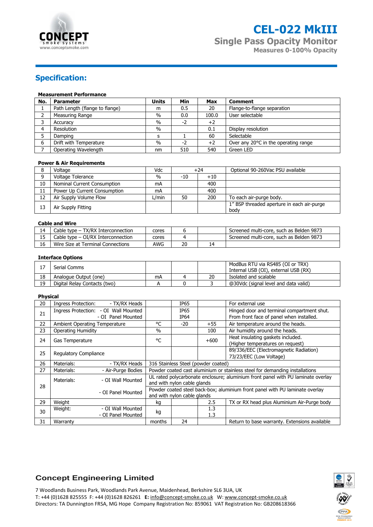

**Single Pass Opacity Monitor Measures 0-100% Opacity**

# **Specification:**

### **Measurement Performance**

| No. | <b>Parameter</b>               | <b>Units</b> | Min | Max   | <b>Comment</b>                       |
|-----|--------------------------------|--------------|-----|-------|--------------------------------------|
|     | Path Length (flange to flange) | m            | 0.5 | 20    | Flange-to-flange separation          |
|     | Measuring Range                | $\%$         | 0.0 | 100.0 | User selectable                      |
|     | Accuracy                       | $\%$         | -2  | $+2$  |                                      |
| Δ   | Resolution                     | $\%$         |     | 0.1   | Display resolution                   |
|     | Damping                        |              |     | 60    | Selectable                           |
|     | Drift with Temperature         | $\%$         | -2  | $+2$  | Over any 20°C in the operating range |
|     | Operating Wavelength           | nm           | 510 | 540   | Green LED                            |

### **Power & Air Requirements**

|    | Voltage                      | Vdc   | $+24$        |     | Optional 90-260Vac PSU available                   |
|----|------------------------------|-------|--------------|-----|----------------------------------------------------|
| Q  | Voltage Tolerance            | $\%$  | -10<br>$+10$ |     |                                                    |
| 10 | Nominal Current Consumption  | mA    |              | 400 |                                                    |
| 11 | Power Up Current Consumption | mA    |              | 400 |                                                    |
| 12 | Air Supply Volume Flow       | L/min | 50           | 200 | To each air-purge body.                            |
| 13 | Air Supply Fitting           |       |              |     | 1" BSP threaded aperture in each air-purge<br>body |

### **Cable and Wire**

| 14 | Cable type – TX/RX Interconnection | cores |    |    | Screened multi-core, such as Belden 9873 |  |  |  |
|----|------------------------------------|-------|----|----|------------------------------------------|--|--|--|
|    | Cable type - OI/RX Interconnection | cores |    |    | Screened multi-core, such as Belden 9873 |  |  |  |
|    | Wire Size at Terminal Connections  | AWG   | 20 | 14 |                                          |  |  |  |

### **Interface Options**

|    | Serial Comms                 |    |    | ModBus RTU via RS485 (OI or TRX)<br>Internal USB (OI), external USB (RX) |
|----|------------------------------|----|----|--------------------------------------------------------------------------|
| 18 | Analogue Output (one)        | mA | 20 | Isolated and scalable                                                    |
| 19 | Digital Relay Contacts (two) |    |    | @30Vdc (signal level and data valid)                                     |

#### **Physical**

| 20 | Ingress Protection:                  | - TX/RX Heads                                                                    |                                                                             | IP65 |        | For external use                              |  |
|----|--------------------------------------|----------------------------------------------------------------------------------|-----------------------------------------------------------------------------|------|--------|-----------------------------------------------|--|
| 21 |                                      | Ingress Protection: - OI Wall Mounted                                            |                                                                             | IP65 |        | Hinged door and terminal compartment shut.    |  |
|    |                                      | - OI Panel Mounted                                                               |                                                                             | IP64 |        | From front face of panel when installed.      |  |
| 22 | <b>Ambient Operating Temperature</b> |                                                                                  | °C                                                                          | -20  | $+55$  | Air temperature around the heads.             |  |
| 23 | <b>Operating Humidity</b>            |                                                                                  | $\%$                                                                        |      | 100    | Air humidity around the heads.                |  |
| 24 | Gas Temperature                      |                                                                                  | °C                                                                          |      | $+600$ | Heat insulating gaskets included.             |  |
|    |                                      |                                                                                  |                                                                             |      |        | (Higher temperatures on request)              |  |
| 25 | Regulatory Compliance                |                                                                                  |                                                                             |      |        | 89/336/EEC (Electromagnetic Radiation)        |  |
|    |                                      |                                                                                  |                                                                             |      |        | 73/23/EEC (Low Voltage)                       |  |
| 26 | Materials:                           | - TX/RX Heads                                                                    | 316 Stainless Steel (powder coated)                                         |      |        |                                               |  |
| 27 | Materials:                           | - Air-Purge Bodies                                                               | Powder coated cast aluminium or stainless steel for demanding installations |      |        |                                               |  |
|    | Materials:                           | UL rated polycarbonate enclosure; aluminium front panel with PU laminate overlay |                                                                             |      |        |                                               |  |
| 28 |                                      | and with nylon cable glands                                                      |                                                                             |      |        |                                               |  |
|    |                                      | Powder coated steel back-box; aluminium front panel with PU laminate overlay     |                                                                             |      |        |                                               |  |
|    | - OI Panel Mounted                   |                                                                                  | and with nylon cable glands                                                 |      |        |                                               |  |
| 29 | Weight                               |                                                                                  | kg                                                                          |      | 2.5    | TX or RX head plus Aluminium Air-Purge body   |  |
| 30 | Weight:                              | - OI Wall Mounted                                                                | kg                                                                          |      | 1.3    |                                               |  |
|    |                                      | - OI Panel Mounted                                                               |                                                                             |      | 1.3    |                                               |  |
| 31 | Warranty                             |                                                                                  | months                                                                      | 24   |        | Return to base warranty. Extensions available |  |

### **Concept Engineering Limited**

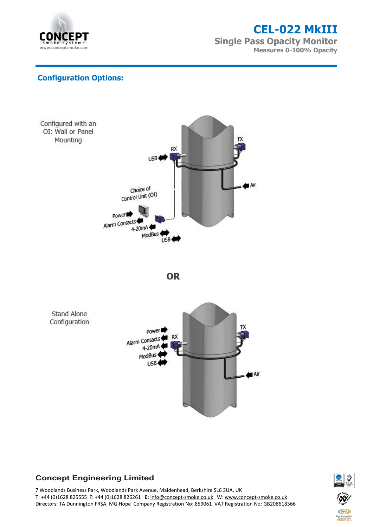

**Single Pass Opacity Monitor Measures 0-100% Opacity**

# **Configuration Options:**







# **Concept Engineering Limited**

7 Woodlands Business Park, Woodlands Park Avenue, Maidenhead, Berkshire SL6 3UA, UK T: +44 (0)1628 825555 F: +44 (0)1628 826261 **E:** [info@concept-smoke.co.uk](mailto:info@concept-smoke.co.uk)W[: www.concept-smoke.co.uk](http://www.concept-smoke.co.uk/) Directors: TA Dunnington FRSA, MG Hope Company Registration No: 859061 VAT Registration No: GB208618366

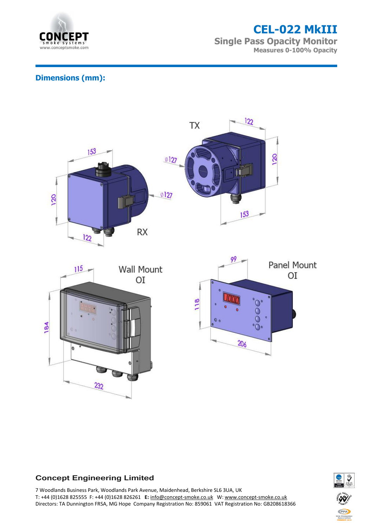

**Single Pass Opacity Monitor Measures 0-100% Opacity**

# **Dimensions (mm):**



## **Concept Engineering Limited**

7 Woodlands Business Park, Woodlands Park Avenue, Maidenhead, Berkshire SL6 3UA, UK T: +44 (0)1628 825555 F: +44 (0)1628 826261 **E:** [info@concept-smoke.co.uk](mailto:info@concept-smoke.co.uk)W[: www.concept-smoke.co.uk](http://www.concept-smoke.co.uk/) Directors: TA Dunnington FRSA, MG Hope Company Registration No: 859061 VAT Registration No: GB208618366

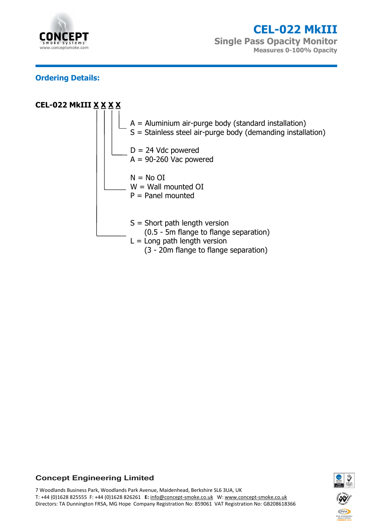

**Single Pass Opacity Monitor Measures 0-100% Opacity**

# **Ordering Details:**



## **Concept Engineering Limited**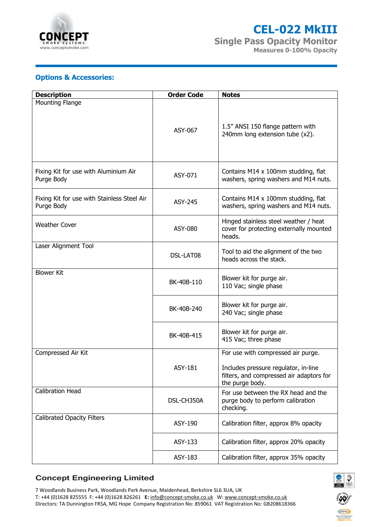

**Single Pass Opacity Monitor Measures 0-100% Opacity**

# **Options & Accessories:**

| <b>Description</b>                                        | <b>Order Code</b> | <b>Notes</b>                                                                                        |
|-----------------------------------------------------------|-------------------|-----------------------------------------------------------------------------------------------------|
| <b>Mounting Flange</b>                                    |                   |                                                                                                     |
|                                                           | ASY-067           | 1.5" ANSI 150 flange pattern with<br>240mm long extension tube (x2).                                |
| Fixing Kit for use with Aluminium Air<br>Purge Body       | ASY-071           | Contains M14 x 100mm studding, flat<br>washers, spring washers and M14 nuts.                        |
| Fixing Kit for use with Stainless Steel Air<br>Purge Body | ASY-245           | Contains M14 x 100mm studding, flat<br>washers, spring washers and M14 nuts.                        |
| <b>Weather Cover</b>                                      | <b>ASY-080</b>    | Hinged stainless steel weather / heat<br>cover for protecting externally mounted<br>heads.          |
| Laser Alignment Tool                                      | DSL-LAT08         | Tool to aid the alignment of the two<br>heads across the stack.                                     |
| <b>Blower Kit</b>                                         | BK-40B-110        | Blower kit for purge air.<br>110 Vac; single phase                                                  |
|                                                           | BK-40B-240        | Blower kit for purge air.<br>240 Vac; single phase                                                  |
|                                                           | BK-40B-415        | Blower kit for purge air.<br>415 Vac; three phase                                                   |
| Compressed Air Kit                                        |                   | For use with compressed air purge.                                                                  |
|                                                           | <b>ASY-181</b>    | Includes pressure regulator, in-line<br>filters, and compressed air adaptors for<br>the purge body. |
| <b>Calibration Head</b>                                   | DSL-CH350A        | For use between the RX head and the<br>purge body to perform calibration<br>checking.               |
| <b>Calibrated Opacity Filters</b>                         | ASY-190           | Calibration filter, approx 8% opacity                                                               |
|                                                           | ASY-133           | Calibration filter, approx 20% opacity                                                              |
|                                                           | ASY-183           | Calibration filter, approx 35% opacity                                                              |

## **Concept Engineering Limited**

7 Woodlands Business Park, Woodlands Park Avenue, Maidenhead, Berkshire SL6 3UA, UK T: +44 (0)1628 825555 F: +44 (0)1628 826261 **E:** [info@concept-smoke.co.uk](mailto:info@concept-smoke.co.uk)W[: www.concept-smoke.co.uk](http://www.concept-smoke.co.uk/) Directors: TA Dunnington FRSA, MG Hope Company Registration No: 859061 VAT Registration No: GB208618366



FPA